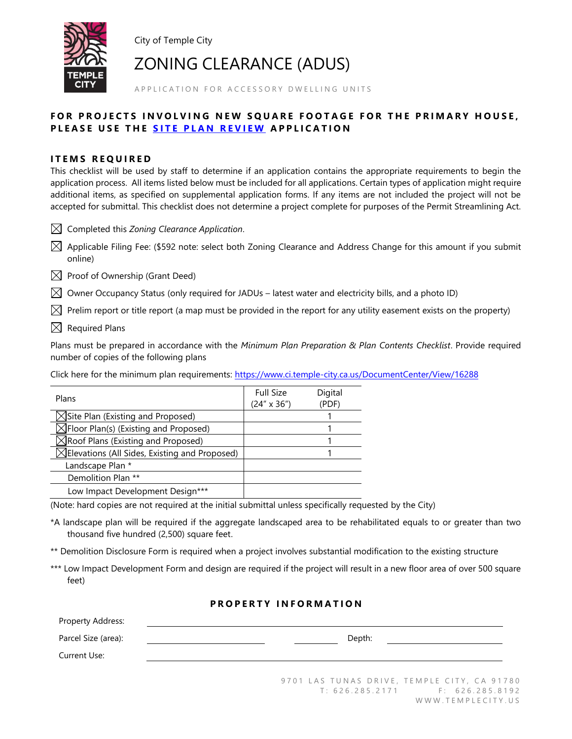

City of Temple City

ZONING CLEARANCE (ADUS)

A P P LI C A T I ON FOR ACCESSORY DWELLING UNITS

# FOR PROJECTS INVOLVING NEW SOUARE FOOTAGE FOR THE PRIMARY HOUSE. **PLEASE USE THE SITE PLAN REVIEW APPLICATION**

## **ITEMS REQUIRED**

This checklist will be used by staff to determine if an application contains the appropriate requirements to begin the application process. All items listed below must be included for all applications. Certain types of application might require additional items, as specified on supplemental application forms. If any items are not included the project will not be accepted for submittal. This checklist does not determine a project complete for purposes of the Permit Streamlining Act.

 $\boxtimes$  Completed this *Zoning Clearance Application*.

 $\boxtimes$  Applicable Filing Fee: (\$592 note: select both Zoning Clearance and Address Change for this amount if you submit online)

 $\boxtimes$  Proof of Ownership (Grant Deed)

 $\boxtimes$  Owner Occupancy Status (only required for JADUs – latest water and electricity bills, and a photo ID)

 $\boxtimes$  Prelim report or title report (a map must be provided in the report for any utility easement exists on the property)

 $\boxtimes$  Required Plans

Plans must be prepared in accordance with the *Minimum Plan Preparation & Plan Contents Checklist*. Provide required number of copies of the following plans

Click here for the minimum plan requirements:<https://www.ci.temple-city.ca.us/DocumentCenter/View/16288>

| Plans                                                     | <b>Full Size</b><br>$(24'' \times 36'')$ | Digital<br>(PDF) |
|-----------------------------------------------------------|------------------------------------------|------------------|
| $\triangle$ Site Plan (Existing and Proposed)             |                                          |                  |
| $\trianglelefteq$ Floor Plan(s) (Existing and Proposed)   |                                          |                  |
| $\sqrt{\ }$ Roof Plans (Existing and Proposed)            |                                          |                  |
| $\triangle$ Elevations (All Sides, Existing and Proposed) |                                          |                  |
| Landscape Plan *                                          |                                          |                  |
| Demolition Plan **                                        |                                          |                  |
| Low Impact Development Design***                          |                                          |                  |

(Note: hard copies are not required at the initial submittal unless specifically requested by the City)

\*A landscape plan will be required if the aggregate landscaped area to be rehabilitated equals to or greater than two thousand five hundred (2,500) square feet.

\*\* Demolition Disclosure Form is required when a project involves substantial modification to the existing structure

\*\*\* Low Impact Development Form and design are required if the project will result in a new floor area of over 500 square feet)

#### **P R O P E R T Y I N F O R M A T I O N**

| Property Address:   |        |
|---------------------|--------|
| Parcel Size (area): | Depth: |
| Current Use:        |        |